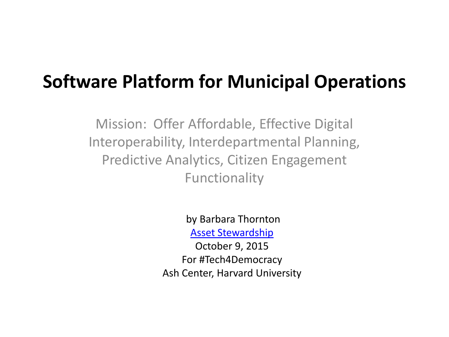### **Software Platform for Municipal Operations**

Mission: Offer Affordable, Effective Digital Interoperability, Interdepartmental Planning, Predictive Analytics, Citizen Engagement Functionality

> by Barbara Thornton [Asset Stewardship](http://assetstewardship.com/2015/01/23/new-evidence-shows-citizen-engagement-increases-tax-revenues/)

October 9, 2015 For #Tech4Democracy Ash Center, Harvard University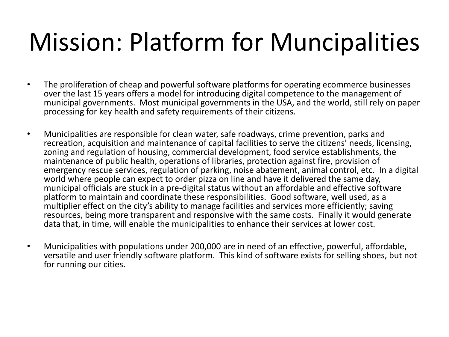# Mission: Platform for Muncipalities

- The proliferation of cheap and powerful software platforms for operating ecommerce businesses over the last 15 years offers a model for introducing digital competence to the management of municipal governments. Most municipal governments in the USA, and the world, still rely on paper processing for key health and safety requirements of their citizens.
- Municipalities are responsible for clean water, safe roadways, crime prevention, parks and recreation, acquisition and maintenance of capital facilities to serve the citizens' needs, licensing, zoning and regulation of housing, commercial development, food service establishments, the maintenance of public health, operations of libraries, protection against fire, provision of emergency rescue services, regulation of parking, noise abatement, animal control, etc. In a digital world where people can expect to order pizza on line and have it delivered the same day, municipal officials are stuck in a pre-digital status without an affordable and effective software platform to maintain and coordinate these responsibilities. Good software, well used, as a multiplier effect on the city's ability to manage facilities and services more efficiently; saving resources, being more transparent and responsive with the same costs. Finally it would generate data that, in time, will enable the municipalities to enhance their services at lower cost.
- Municipalities with populations under 200,000 are in need of an effective, powerful, affordable, versatile and user friendly software platform. This kind of software exists for selling shoes, but not for running our cities.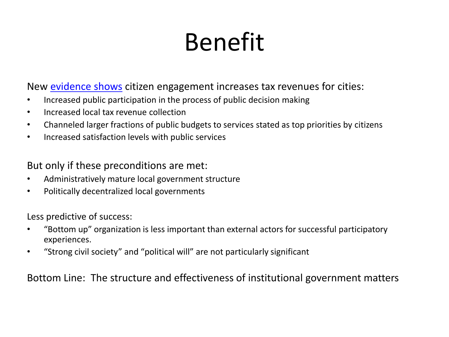# Benefit

New [evidence shows](http://assetstewardship.com/2015/01/23/new-evidence-shows-citizen-engagement-increases-tax-revenues/) citizen engagement increases tax revenues for cities:

- Increased public participation in the process of public decision making
- Increased local tax revenue collection
- Channeled larger fractions of public budgets to services stated as top priorities by citizens
- Increased satisfaction levels with public services

But only if these preconditions are met:

- Administratively mature local government structure
- Politically decentralized local governments

Less predictive of success:

- "Bottom up" organization is less important than external actors for successful participatory experiences.
- "Strong civil society" and "political will" are not particularly significant

Bottom Line: The structure and effectiveness of institutional government matters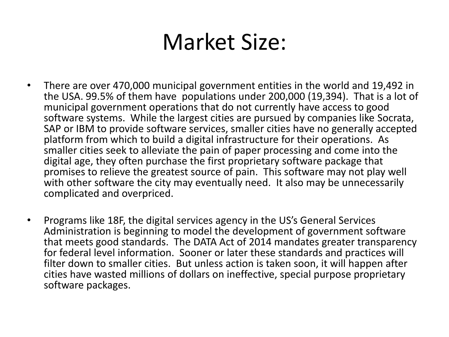### Market Size:

- There are over 470,000 municipal government entities in the world and 19,492 in the USA. 99.5% of them have populations under 200,000 (19,394). That is a lot of municipal government operations that do not currently have access to good software systems. While the largest cities are pursued by companies like Socrata, SAP or IBM to provide software services, smaller cities have no generally accepted platform from which to build a digital infrastructure for their operations. As smaller cities seek to alleviate the pain of paper processing and come into the digital age, they often purchase the first proprietary software package that promises to relieve the greatest source of pain. This software may not play well with other software the city may eventually need. It also may be unnecessarily complicated and overpriced.
- Programs like 18F, the digital services agency in the US's General Services Administration is beginning to model the development of government software that meets good standards. The DATA Act of 2014 mandates greater transparency for federal level information. Sooner or later these standards and practices will filter down to smaller cities. But unless action is taken soon, it will happen after cities have wasted millions of dollars on ineffective, special purpose proprietary software packages.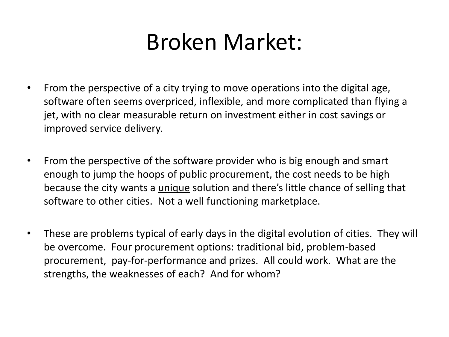### Broken Market:

- From the perspective of a city trying to move operations into the digital age, software often seems overpriced, inflexible, and more complicated than flying a jet, with no clear measurable return on investment either in cost savings or improved service delivery.
- From the perspective of the software provider who is big enough and smart enough to jump the hoops of public procurement, the cost needs to be high because the city wants a unique solution and there's little chance of selling that software to other cities. Not a well functioning marketplace.
- These are problems typical of early days in the digital evolution of cities. They will be overcome. Four procurement options: traditional bid, problem-based procurement, pay-for-performance and prizes. All could work. What are the strengths, the weaknesses of each? And for whom?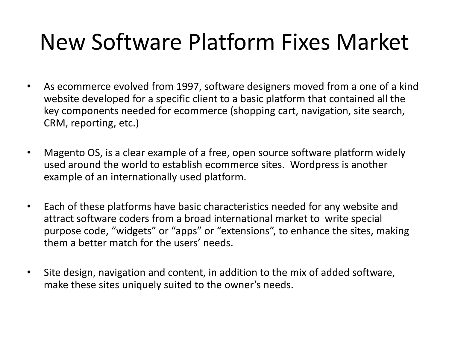### New Software Platform Fixes Market

- As ecommerce evolved from 1997, software designers moved from a one of a kind website developed for a specific client to a basic platform that contained all the key components needed for ecommerce (shopping cart, navigation, site search, CRM, reporting, etc.)
- Magento OS, is a clear example of a free, open source software platform widely used around the world to establish ecommerce sites. Wordpress is another example of an internationally used platform.
- Each of these platforms have basic characteristics needed for any website and attract software coders from a broad international market to write special purpose code, "widgets" or "apps" or "extensions", to enhance the sites, making them a better match for the users' needs.
- Site design, navigation and content, in addition to the mix of added software, make these sites uniquely suited to the owner's needs.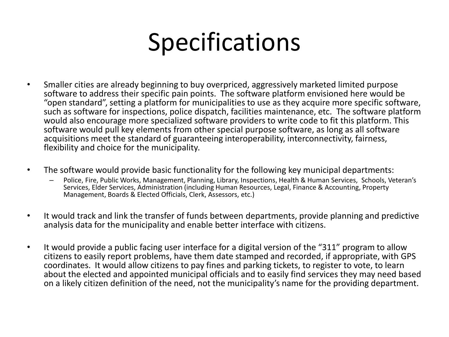# Specifications

- Smaller cities are already beginning to buy overpriced, aggressively marketed limited purpose software to address their specific pain points. The software platform envisioned here would be "open standard", setting a platform for municipalities to use as they acquire more specific software, such as software for inspections, police dispatch, facilities maintenance, etc. The software platform would also encourage more specialized software providers to write code to fit this platform. This software would pull key elements from other special purpose software, as long as all software acquisitions meet the standard of guaranteeing interoperability, interconnectivity, fairness, flexibility and choice for the municipality.
- The software would provide basic functionality for the following key municipal departments:
	- Police, Fire, Public Works, Management, Planning, Library, Inspections, Health & Human Services, Schools, Veteran's Services, Elder Services, Administration (including Human Resources, Legal, Finance & Accounting, Property Management, Boards & Elected Officials, Clerk, Assessors, etc.)
- It would track and link the transfer of funds between departments, provide planning and predictive analysis data for the municipality and enable better interface with citizens.
- It would provide a public facing user interface for a digital version of the "311" program to allow citizens to easily report problems, have them date stamped and recorded, if appropriate, with GPS coordinates. It would allow citizens to pay fines and parking tickets, to register to vote, to learn about the elected and appointed municipal officials and to easily find services they may need based on a likely citizen definition of the need, not the municipality's name for the providing department.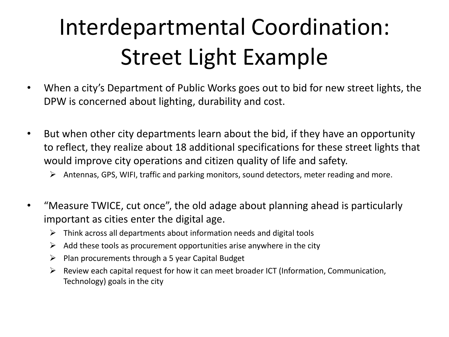### Interdepartmental Coordination: Street Light Example

- When a city's Department of Public Works goes out to bid for new street lights, the DPW is concerned about lighting, durability and cost.
- But when other city departments learn about the bid, if they have an opportunity to reflect, they realize about 18 additional specifications for these street lights that would improve city operations and citizen quality of life and safety.
	- Antennas, GPS, WIFI, traffic and parking monitors, sound detectors, meter reading and more.
- "Measure TWICE, cut once", the old adage about planning ahead is particularly important as cities enter the digital age.
	- $\triangleright$  Think across all departments about information needs and digital tools
	- $\triangleright$  Add these tools as procurement opportunities arise anywhere in the city
	- $\triangleright$  Plan procurements through a 5 year Capital Budget
	- $\triangleright$  Review each capital request for how it can meet broader ICT (Information, Communication, Technology) goals in the city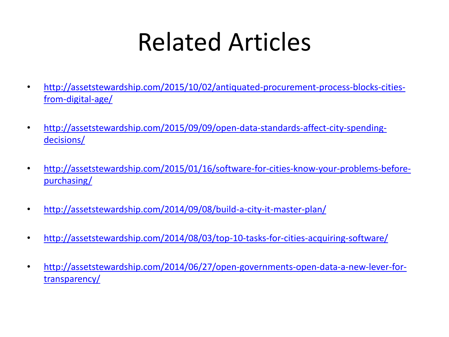# Related Articles

- [http://assetstewardship.com/2015/10/02/antiquated-procurement-process-blocks-cities](http://assetstewardship.com/2015/09/09/open-data-standards-affect-city-spending-decisions/)[from-digital-age/](http://assetstewardship.com/2015/09/09/open-data-standards-affect-city-spending-decisions/)
- [http://assetstewardship.com/2015/09/09/open-data-standards-affect-city-spending](http://assetstewardship.com/2015/09/09/open-data-standards-affect-city-spending-decisions/)[decisions/](http://assetstewardship.com/2015/09/09/open-data-standards-affect-city-spending-decisions/)
- [http://assetstewardship.com/2015/01/16/software-for-cities-know-your-problems-before](http://assetstewardship.com/2015/01/16/software-for-cities-know-your-problems-before-purchasing/)[purchasing/](http://assetstewardship.com/2015/01/16/software-for-cities-know-your-problems-before-purchasing/)
- <http://assetstewardship.com/2014/09/08/build-a-city-it-master-plan/>
- <http://assetstewardship.com/2014/08/03/top-10-tasks-for-cities-acquiring-software/>
- [http://assetstewardship.com/2014/06/27/open-governments-open-data-a-new-lever-for](http://assetstewardship.com/2014/06/27/open-governments-open-data-a-new-lever-for-transparency/)[transparency/](http://assetstewardship.com/2014/06/27/open-governments-open-data-a-new-lever-for-transparency/)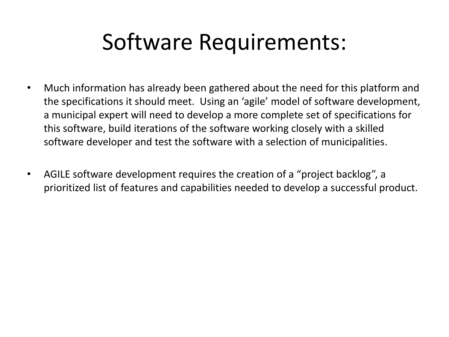### Software Requirements:

- Much information has already been gathered about the need for this platform and the specifications it should meet. Using an 'agile' model of software development, a municipal expert will need to develop a more complete set of specifications for this software, build iterations of the software working closely with a skilled software developer and test the software with a selection of municipalities.
- AGILE software development requires the creation of a "project backlog", a prioritized list of features and capabilities needed to develop a successful product.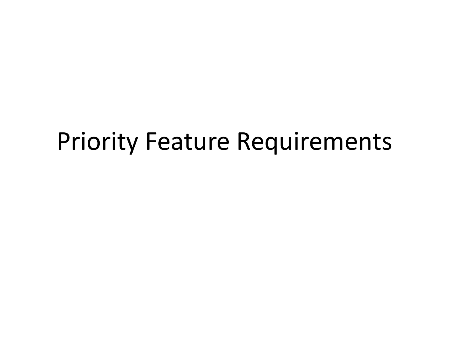### Priority Feature Requirements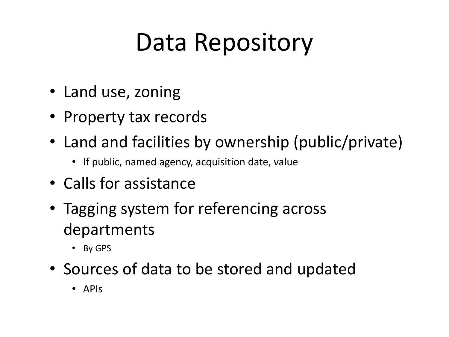# Data Repository

- Land use, zoning
- Property tax records
- Land and facilities by ownership (public/private)
	- If public, named agency, acquisition date, value
- Calls for assistance
- Tagging system for referencing across departments
	- By GPS
- Sources of data to be stored and updated
	- APIs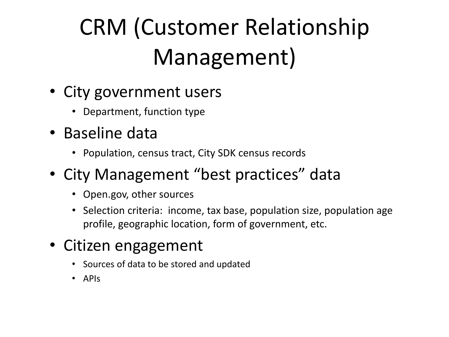# CRM (Customer Relationship Management)

- City government users
	- Department, function type
- Baseline data
	- Population, census tract, City SDK census records
- City Management "best practices" data
	- Open.gov, other sources
	- Selection criteria: income, tax base, population size, population age profile, geographic location, form of government, etc.
- Citizen engagement
	- Sources of data to be stored and updated
	- APIs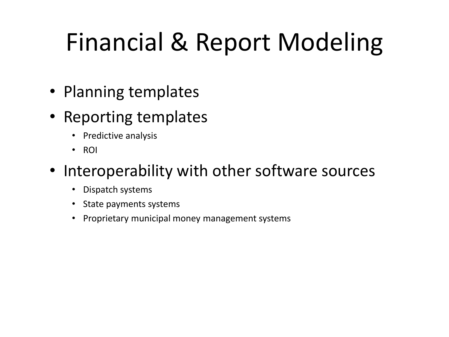# Financial & Report Modeling

- Planning templates
- Reporting templates
	- Predictive analysis
	- ROI

#### • Interoperability with other software sources

- Dispatch systems
- State payments systems
- Proprietary municipal money management systems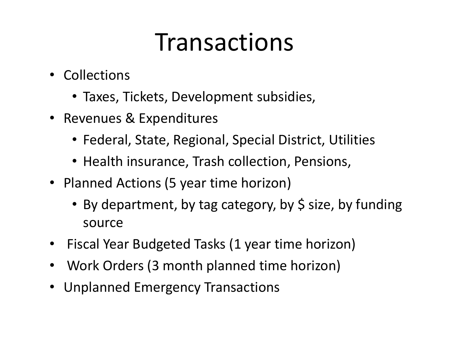### **Transactions**

- Collections
	- Taxes, Tickets, Development subsidies,
- Revenues & Expenditures
	- Federal, State, Regional, Special District, Utilities
	- Health insurance, Trash collection, Pensions,
- Planned Actions (5 year time horizon)
	- By department, by tag category, by \$ size, by funding source
- Fiscal Year Budgeted Tasks (1 year time horizon)
- Work Orders (3 month planned time horizon)
- Unplanned Emergency Transactions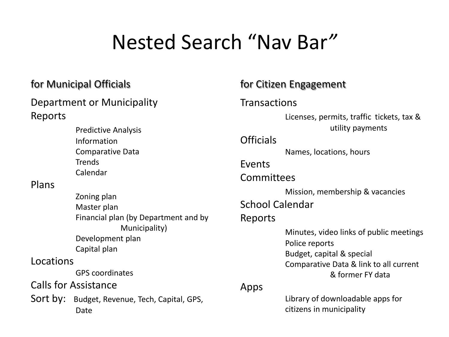### Nested Search "Nav Bar*"*

#### Department or Municipality Reports

Predictive Analysis Information Comparative Data **Trends** Calendar

#### Plans

Zoning plan Master plan Financial plan (by Department and by Municipality) Development plan Capital plan Locations GPS coordinates

Calls for Assistance

Sort by: Budget, Revenue, Tech, Capital, GPS, Date

#### for Municipal Officials **for Citizen Engagement**

#### **Transactions**

Licenses, permits, traffic tickets, tax & utility payments

#### **Officials**

Names, locations, hours

#### Events

#### Committees

Mission, membership & vacancies

#### School Calendar

#### Reports

Minutes, video links of public meetings Police reports Budget, capital & special Comparative Data & link to all current & former FY data

#### Apps

Library of downloadable apps for citizens in municipality